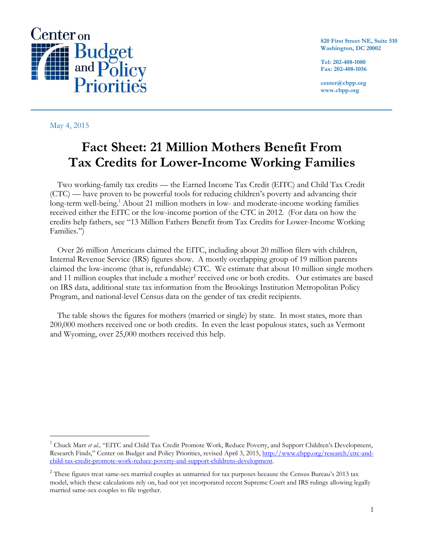

May 4, 2015

 $\overline{a}$ 

**820 First Street NE, Suite 510 Washington, DC 20002**

**Tel: 202-408-1080 Fax: 202-408-1056**

**center@cbpp.org www.cbpp.org**

## **Fact Sheet: 21 Million Mothers Benefit From Tax Credits for Lower-Income Working Families**

Two working-family tax credits — the Earned Income Tax Credit (EITC) and Child Tax Credit (CTC) — have proven to be powerful tools for reducing children's poverty and advancing their long-term well-being.<sup>1</sup> About 21 million mothers in low- and moderate-income working families received either the EITC or the low-income portion of the CTC in 2012. (For data on how the credits help fathers, see "13 Million Fathers Benefit from Tax Credits for Lower-Income Working Families.")

Over 26 million Americans claimed the EITC, including about 20 million filers with children, Internal Revenue Service (IRS) figures show. A mostly overlapping group of 19 million parents claimed the low-income (that is, refundable) CTC. We estimate that about 10 million single mothers and 11 million couples that include a mother<sup>2</sup> received one or both credits. Our estimates are based on IRS data, additional state tax information from the Brookings Institution Metropolitan Policy Program, and national-level Census data on the gender of tax credit recipients.

The table shows the figures for mothers (married or single) by state. In most states, more than 200,000 mothers received one or both credits. In even the least populous states, such as Vermont and Wyoming, over 25,000 mothers received this help.

<sup>&</sup>lt;sup>1</sup> Chuck Marr *et al.*, "EITC and Child Tax Credit Promote Work, Reduce Poverty, and Support Children's Development, Research Finds," Center on Budget and Policy Priorities, revised April 3, 2015, [http://www.cbpp.org/research/eitc-and](http://www.cbpp.org/research/eitc-and-child-tax-credit-promote-work-reduce-poverty-and-support-childrens-development)[child-tax-credit-promote-work-reduce-poverty-and-support-childrens-development.](http://www.cbpp.org/research/eitc-and-child-tax-credit-promote-work-reduce-poverty-and-support-childrens-development)

 $2$  These figures treat same-sex married couples as unmarried for tax purposes because the Census Bureau's 2013 tax model, which these calculations rely on, had not yet incorporated recent Supreme Court and IRS rulings allowing legally married same-sex couples to file together.